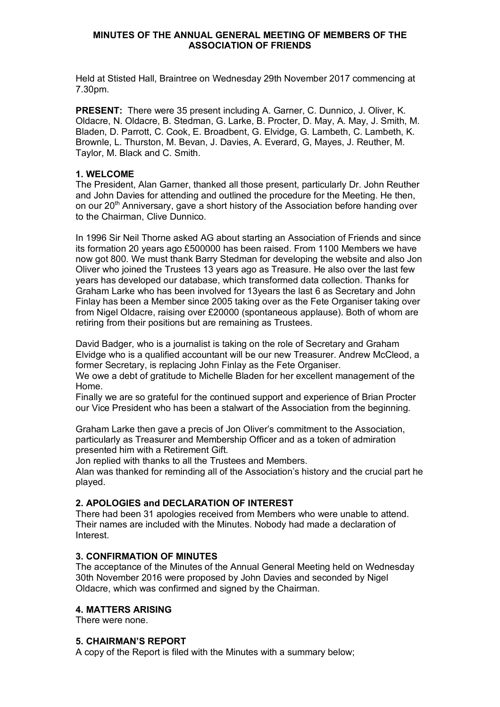Held at Stisted Hall, Braintree on Wednesday 29th November 2017 commencing at 7.30pm.

**PRESENT:** There were 35 present including A. Garner, C. Dunnico, J. Oliver, K. Oldacre, N. Oldacre, B. Stedman, G. Larke, B. Procter, D. May, A. May, J. Smith, M. Bladen, D. Parrott, C. Cook, E. Broadbent, G. Elvidge, G. Lambeth, C. Lambeth, K. Brownle, L. Thurston, M. Bevan, J. Davies, A. Everard, G, Mayes, J. Reuther, M. Taylor, M. Black and C. Smith.

#### **1. WELCOME**

The President, Alan Garner, thanked all those present, particularly Dr. John Reuther and John Davies for attending and outlined the procedure for the Meeting. He then, on our 20<sup>th</sup> Anniversary, gave a short history of the Association before handing over to the Chairman, Clive Dunnico.

In 1996 Sir Neil Thorne asked AG about starting an Association of Friends and since its formation 20 years ago £500000 has been raised. From 1100 Members we have now got 800. We must thank Barry Stedman for developing the website and also Jon Oliver who joined the Trustees 13 years ago as Treasure. He also over the last few years has developed our database, which transformed data collection. Thanks for Graham Larke who has been involved for 13years the last 6 as Secretary and John Finlay has been a Member since 2005 taking over as the Fete Organiser taking over from Nigel Oldacre, raising over £20000 (spontaneous applause). Both of whom are retiring from their positions but are remaining as Trustees.

David Badger, who is a journalist is taking on the role of Secretary and Graham Elvidge who is a qualified accountant will be our new Treasurer. Andrew McCleod, a former Secretary, is replacing John Finlay as the Fete Organiser.

We owe a debt of gratitude to Michelle Bladen for her excellent management of the Home.

Finally we are so grateful for the continued support and experience of Brian Procter our Vice President who has been a stalwart of the Association from the beginning.

Graham Larke then gave a precis of Jon Oliver's commitment to the Association, particularly as Treasurer and Membership Officer and as a token of admiration presented him with a Retirement Gift.

Jon replied with thanks to all the Trustees and Members.

Alan was thanked for reminding all of the Association's history and the crucial part he played.

## **2. APOLOGIES and DECLARATION OF INTEREST**

There had been 31 apologies received from Members who were unable to attend. Their names are included with the Minutes. Nobody had made a declaration of Interest.

## **3. CONFIRMATION OF MINUTES**

The acceptance of the Minutes of the Annual General Meeting held on Wednesday 30th November 2016 were proposed by John Davies and seconded by Nigel Oldacre, which was confirmed and signed by the Chairman.

#### **4. MATTERS ARISING**

There were none.

#### **5. CHAIRMAN'S REPORT**

A copy of the Report is filed with the Minutes with a summary below;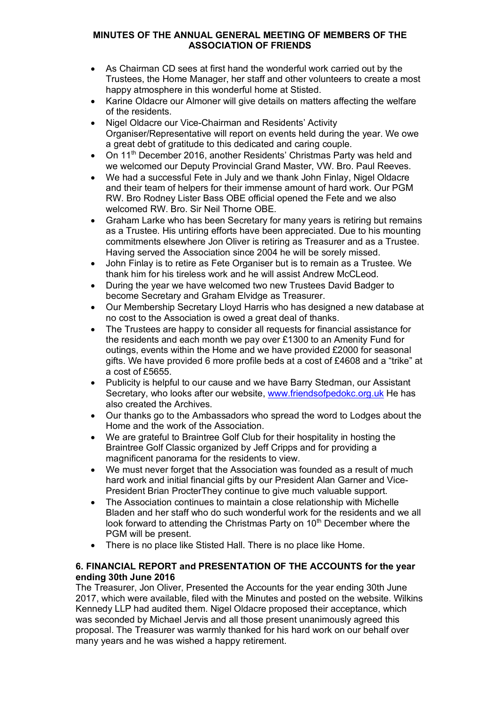- As Chairman CD sees at first hand the wonderful work carried out by the Trustees, the Home Manager, her staff and other volunteers to create a most happy atmosphere in this wonderful home at Stisted.
- Karine Oldacre our Almoner will give details on matters affecting the welfare of the residents.
- Nigel Oldacre our Vice-Chairman and Residents' Activity Organiser/Representative will report on events held during the year. We owe a great debt of gratitude to this dedicated and caring couple.
- On 11<sup>th</sup> December 2016, another Residents' Christmas Party was held and we welcomed our Deputy Provincial Grand Master, VW. Bro. Paul Reeves.
- We had a successful Fete in July and we thank John Finlay, Nigel Oldacre and their team of helpers for their immense amount of hard work. Our PGM RW. Bro Rodney Lister Bass OBE official opened the Fete and we also welcomed RW. Bro. Sir Neil Thorne OBE.
- Graham Larke who has been Secretary for many years is retiring but remains as a Trustee. His untiring efforts have been appreciated. Due to his mounting commitments elsewhere Jon Oliver is retiring as Treasurer and as a Trustee. Having served the Association since 2004 he will be sorely missed.
- John Finlay is to retire as Fete Organiser but is to remain as a Trustee. We thank him for his tireless work and he will assist Andrew McCLeod.
- During the year we have welcomed two new Trustees David Badger to become Secretary and Graham Elvidge as Treasurer.
- Our Membership Secretary Lloyd Harris who has designed a new database at no cost to the Association is owed a great deal of thanks.
- The Trustees are happy to consider all requests for financial assistance for the residents and each month we pay over £1300 to an Amenity Fund for outings, events within the Home and we have provided £2000 for seasonal gifts. We have provided 6 more profile beds at a cost of £4608 and a "trike" at a cost of £5655.
- Publicity is helpful to our cause and we have Barry Stedman, our Assistant Secretary, who looks after our website, www.friendsofpedokc.org.uk He has also created the Archives.
- Our thanks go to the Ambassadors who spread the word to Lodges about the Home and the work of the Association.
- We are grateful to Braintree Golf Club for their hospitality in hosting the Braintree Golf Classic organized by Jeff Cripps and for providing a magnificent panorama for the residents to view.
- We must never forget that the Association was founded as a result of much hard work and initial financial gifts by our President Alan Garner and Vice-President Brian ProcterThey continue to give much valuable support.
- The Association continues to maintain a close relationship with Michelle Bladen and her staff who do such wonderful work for the residents and we all look forward to attending the Christmas Party on 10<sup>th</sup> December where the PGM will be present.
- There is no place like Stisted Hall. There is no place like Home.

## **6. FINANCIAL REPORT and PRESENTATION OF THE ACCOUNTS for the year ending 30th June 2016**

The Treasurer, Jon Oliver, Presented the Accounts for the year ending 30th June 2017, which were available, filed with the Minutes and posted on the website. Wilkins Kennedy LLP had audited them. Nigel Oldacre proposed their acceptance, which was seconded by Michael Jervis and all those present unanimously agreed this proposal. The Treasurer was warmly thanked for his hard work on our behalf over many years and he was wished a happy retirement.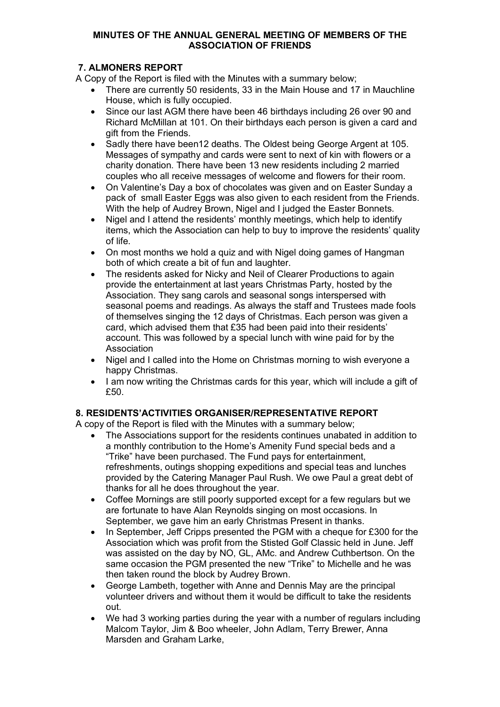## **7. ALMONERS REPORT**

A Copy of the Report is filed with the Minutes with a summary below;

- There are currently 50 residents, 33 in the Main House and 17 in Mauchline House, which is fully occupied.
- Since our last AGM there have been 46 birthdays including 26 over 90 and Richard McMillan at 101. On their birthdays each person is given a card and gift from the Friends.
- Sadly there have been12 deaths. The Oldest being George Argent at 105. Messages of sympathy and cards were sent to next of kin with flowers or a charity donation. There have been 13 new residents including 2 married couples who all receive messages of welcome and flowers for their room.
- On Valentine's Day a box of chocolates was given and on Easter Sunday a pack of small Easter Eggs was also given to each resident from the Friends. With the help of Audrey Brown, Nigel and I judged the Easter Bonnets.
- Nigel and I attend the residents' monthly meetings, which help to identify items, which the Association can help to buy to improve the residents' quality of life.
- On most months we hold a quiz and with Nigel doing games of Hangman both of which create a bit of fun and laughter.
- The residents asked for Nicky and Neil of Clearer Productions to again provide the entertainment at last years Christmas Party, hosted by the Association. They sang carols and seasonal songs interspersed with seasonal poems and readings. As always the staff and Trustees made fools of themselves singing the 12 days of Christmas. Each person was given a card, which advised them that £35 had been paid into their residents' account. This was followed by a special lunch with wine paid for by the Association
- Nigel and I called into the Home on Christmas morning to wish everyone a happy Christmas.
- I am now writing the Christmas cards for this year, which will include a gift of £50

# **8. RESIDENTS'ACTIVITIES ORGANISER/REPRESENTATIVE REPORT**

A copy of the Report is filed with the Minutes with a summary below;

- The Associations support for the residents continues unabated in addition to a monthly contribution to the Home's Amenity Fund special beds and a "Trike" have been purchased. The Fund pays for entertainment, refreshments, outings shopping expeditions and special teas and lunches provided by the Catering Manager Paul Rush. We owe Paul a great debt of thanks for all he does throughout the year.
- Coffee Mornings are still poorly supported except for a few regulars but we are fortunate to have Alan Reynolds singing on most occasions. In September, we gave him an early Christmas Present in thanks.
- In September, Jeff Cripps presented the PGM with a cheque for £300 for the Association which was profit from the Stisted Golf Classic held in June. Jeff was assisted on the day by NO, GL, AMc. and Andrew Cuthbertson. On the same occasion the PGM presented the new "Trike" to Michelle and he was then taken round the block by Audrey Brown.
- George Lambeth, together with Anne and Dennis May are the principal volunteer drivers and without them it would be difficult to take the residents out.
- We had 3 working parties during the year with a number of regulars including Malcom Taylor, Jim & Boo wheeler, John Adlam, Terry Brewer, Anna Marsden and Graham Larke,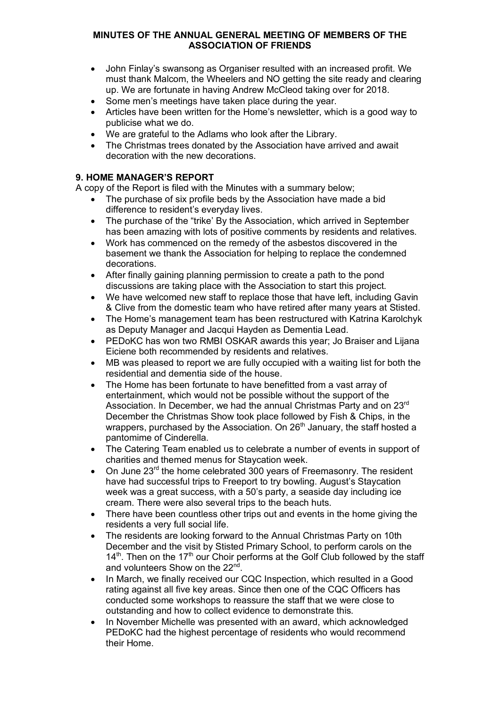- John Finlay's swansong as Organiser resulted with an increased profit. We must thank Malcom, the Wheelers and NO getting the site ready and clearing up. We are fortunate in having Andrew McCleod taking over for 2018.
- Some men's meetings have taken place during the year.
- Articles have been written for the Home's newsletter, which is a good way to publicise what we do.
- We are grateful to the Adlams who look after the Library.
- The Christmas trees donated by the Association have arrived and await decoration with the new decorations.

# **9. HOME MANAGER'S REPORT**

A copy of the Report is filed with the Minutes with a summary below;

- The purchase of six profile beds by the Association have made a bid difference to resident's everyday lives.
- The purchase of the "trike' By the Association, which arrived in September has been amazing with lots of positive comments by residents and relatives.
- Work has commenced on the remedy of the asbestos discovered in the basement we thank the Association for helping to replace the condemned decorations.
- After finally gaining planning permission to create a path to the pond discussions are taking place with the Association to start this project.
- We have welcomed new staff to replace those that have left, including Gavin & Clive from the domestic team who have retired after many years at Stisted.
- The Home's management team has been restructured with Katrina Karolchyk as Deputy Manager and Jacqui Hayden as Dementia Lead.
- PEDoKC has won two RMBI OSKAR awards this year; Jo Braiser and Lijana Eiciene both recommended by residents and relatives.
- MB was pleased to report we are fully occupied with a waiting list for both the residential and dementia side of the house.
- The Home has been fortunate to have benefitted from a vast array of entertainment, which would not be possible without the support of the Association. In December, we had the annual Christmas Party and on 23<sup>rd</sup> December the Christmas Show took place followed by Fish & Chips, in the wrappers, purchased by the Association. On  $26<sup>th</sup>$  January, the staff hosted a pantomime of Cinderella.
- The Catering Team enabled us to celebrate a number of events in support of charities and themed menus for Staycation week.
- On June 23<sup>rd</sup> the home celebrated 300 years of Freemasonry. The resident have had successful trips to Freeport to try bowling. August's Staycation week was a great success, with a 50's party, a seaside day including ice cream. There were also several trips to the beach huts.
- There have been countless other trips out and events in the home giving the residents a very full social life.
- The residents are looking forward to the Annual Christmas Party on 10th December and the visit by Stisted Primary School, to perform carols on the  $14<sup>th</sup>$ . Then on the  $17<sup>th</sup>$  our Choir performs at the Golf Club followed by the staff and volunteers Show on the 22<sup>nd</sup>.
- In March, we finally received our CQC Inspection, which resulted in a Good rating against all five key areas. Since then one of the CQC Officers has conducted some workshops to reassure the staff that we were close to outstanding and how to collect evidence to demonstrate this.
- In November Michelle was presented with an award, which acknowledged PEDoKC had the highest percentage of residents who would recommend their Home.